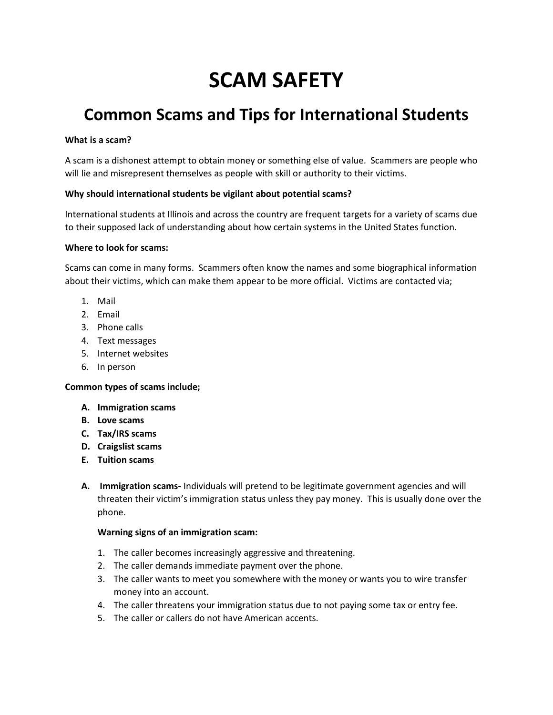# **SCAM SAFETY**

# **Common Scams and Tips for International Students**

## **What is a scam?**

A scam is a dishonest attempt to obtain money or something else of value. Scammers are people who will lie and misrepresent themselves as people with skill or authority to their victims.

### **Why should international students be vigilant about potential scams?**

International students at Illinois and across the country are frequent targets for a variety of scams due to their supposed lack of understanding about how certain systems in the United States function.

### **Where to look for scams:**

Scams can come in many forms. Scammers often know the names and some biographical information about their victims, which can make them appear to be more official. Victims are contacted via;

- 1. Mail
- 2. Email
- 3. Phone calls
- 4. Text messages
- 5. Internet websites
- 6. In person

# **Common types of scams include;**

- **A. Immigration scams**
- **B. Love scams**
- **C. Tax/IRS scams**
- **D. Craigslist scams**
- **E. Tuition scams**
- **A. Immigration scams-** Individuals will pretend to be legitimate government agencies and will threaten their victim's immigration status unless they pay money. This is usually done over the phone.

#### **Warning signs of an immigration scam:**

- 1. The caller becomes increasingly aggressive and threatening.
- 2. The caller demands immediate payment over the phone.
- 3. The caller wants to meet you somewhere with the money or wants you to wire transfer money into an account.
- 4. The caller threatens your immigration status due to not paying some tax or entry fee.
- 5. The caller or callers do not have American accents.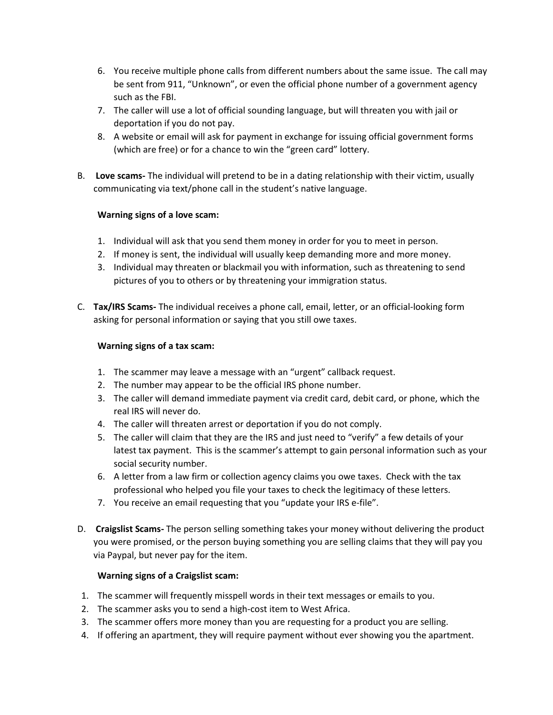- 6. You receive multiple phone calls from different numbers about the same issue. The call may be sent from 911, "Unknown", or even the official phone number of a government agency such as the FBI.
- 7. The caller will use a lot of official sounding language, but will threaten you with jail or deportation if you do not pay.
- 8. A website or email will ask for payment in exchange for issuing official government forms (which are free) or for a chance to win the "green card" lottery.
- B. **Love scams-** The individual will pretend to be in a dating relationship with their victim, usually communicating via text/phone call in the student's native language.

# **Warning signs of a love scam:**

- 1. Individual will ask that you send them money in order for you to meet in person.
- 2. If money is sent, the individual will usually keep demanding more and more money.
- 3. Individual may threaten or blackmail you with information, such as threatening to send pictures of you to others or by threatening your immigration status.
- C. **Tax/IRS Scams-** The individual receives a phone call, email, letter, or an official-looking form asking for personal information or saying that you still owe taxes.

# **Warning signs of a tax scam:**

- 1. The scammer may leave a message with an "urgent" callback request.
- 2. The number may appear to be the official IRS phone number.
- 3. The caller will demand immediate payment via credit card, debit card, or phone, which the real IRS will never do.
- 4. The caller will threaten arrest or deportation if you do not comply.
- 5. The caller will claim that they are the IRS and just need to "verify" a few details of your latest tax payment. This is the scammer's attempt to gain personal information such as your social security number.
- 6. A letter from a law firm or collection agency claims you owe taxes. Check with the tax professional who helped you file your taxes to check the legitimacy of these letters.
- 7. You receive an email requesting that you "update your IRS e-file".
- D. **Craigslist Scams-** The person selling something takes your money without delivering the product you were promised, or the person buying something you are selling claims that they will pay you via Paypal, but never pay for the item.

# **Warning signs of a Craigslist scam:**

- 1. The scammer will frequently misspell words in their text messages or emails to you.
- 2. The scammer asks you to send a high-cost item to West Africa.
- 3. The scammer offers more money than you are requesting for a product you are selling.
- 4. If offering an apartment, they will require payment without ever showing you the apartment.